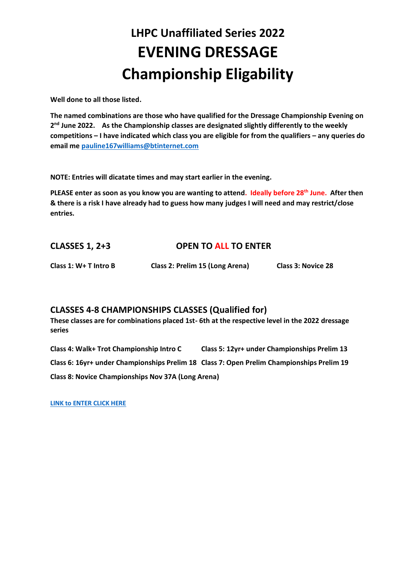# **LHPC Unaffiliated Series 2022 EVENING DRESSAGE Championship Eligability**

**Well done to all those listed.**

**The named combinations are those who have qualified for the Dressage Championship Evening on**  2<sup>nd</sup> June 2022. As the Championship classes are designated slightly differently to the weekly **competitions – I have indicated which class you are eligible for from the qualifiers – any queries do email me [pauline167williams@btinternet.com](mailto:pauline167williams@btinternet.com)**

**NOTE: Entries will dicatate times and may start earlier in the evening.**

**PLEASE enter as soon as you know you are wanting to attend. Ideally before 28th June. After then & there is a risk I have already had to guess how many judges I will need and may restrict/close entries.**

## **CLASSES 1, 2+3 OPEN TO ALL TO ENTER**

**Class 1: W+ T Intro B Class 2: Prelim 15 (Long Arena) Class 3: Novice 28** 

### **CLASSES 4-8 CHAMPIONSHIPS CLASSES (Qualified for)**

**These classes are for combinations placed 1st- 6th at the respective level in the 2022 dressage series** 

**Class 4: Walk+ Trot Championship Intro C Class 5: 12yr+ under Championships Prelim 13 Class 6: 16yr+ under Championships Prelim 18 Class 7: Open Prelim Championships Prelim 19 Class 8: Novice Championships Nov 37A (Long Arena)** 

**[LINK to ENTER CLICK HERE](https://forms.office.com/r/hBshtdsQP0)**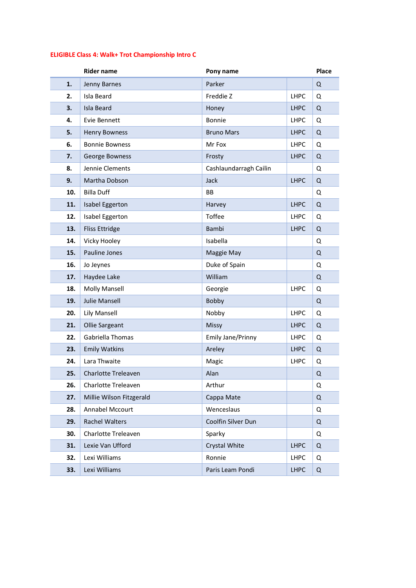## **ELIGIBLE Class 4: Walk+ Trot Championship Intro C**

|     | <b>Rider name</b>        | Pony name              |             | <b>Place</b> |
|-----|--------------------------|------------------------|-------------|--------------|
| 1.  | Jenny Barnes             | Parker                 |             | Q            |
| 2.  | Isla Beard               | Freddie Z              | <b>LHPC</b> | Q            |
| 3.  | <b>Isla Beard</b>        | Honey                  | <b>LHPC</b> | Q            |
| 4.  | Evie Bennett             | Bonnie                 | LHPC        | Q            |
| 5.  | <b>Henry Bowness</b>     | <b>Bruno Mars</b>      | <b>LHPC</b> | Q            |
| 6.  | <b>Bonnie Bowness</b>    | Mr Fox                 | <b>LHPC</b> | Q            |
| 7.  | George Bowness           | Frosty                 | <b>LHPC</b> | Q            |
| 8.  | Jennie Clements          | Cashlaundarragh Cailin |             | Q            |
| 9.  | Martha Dobson            | Jack                   | <b>LHPC</b> | Q            |
| 10. | <b>Billa Duff</b>        | <b>BB</b>              |             | Q            |
| 11. | <b>Isabel Eggerton</b>   | Harvey                 | <b>LHPC</b> | Q            |
| 12. | Isabel Eggerton          | Toffee                 | <b>LHPC</b> | Q            |
| 13. | <b>Fliss Ettridge</b>    | <b>Bambi</b>           | <b>LHPC</b> | Q            |
| 14. | Vicky Hooley             | Isabella               |             | Q            |
| 15. | Pauline Jones            | Maggie May             |             | Q            |
| 16. | Jo Jeynes                | Duke of Spain          |             | Q            |
| 17. | Haydee Lake              | William                |             | Q            |
| 18. | <b>Molly Mansell</b>     | Georgie                | <b>LHPC</b> | Q            |
| 19. | <b>Julie Mansell</b>     | Bobby                  |             | Q            |
| 20. | <b>Lily Mansell</b>      | Nobby                  | <b>LHPC</b> | Q            |
| 21. | Ollie Sargeant           | Missy                  | <b>LHPC</b> | Q            |
| 22. | Gabriella Thomas         | Emily Jane/Prinny      | <b>LHPC</b> | Q            |
| 23. | <b>Emily Watkins</b>     | Areley                 | <b>LHPC</b> | Q            |
| 24. | Lara Thwaite             | Magic                  | <b>LHPC</b> | Q            |
| 25. | Charlotte Treleaven      | Alan                   |             | Q            |
| 26. | Charlotte Treleaven      | Arthur                 |             | Q            |
| 27. | Millie Wilson Fitzgerald | Cappa Mate             |             | Q            |
| 28. | Annabel Mccourt          | Wenceslaus             |             | Q            |
| 29. | Rachel Walters           | Coolfin Silver Dun     |             | Q            |
| 30. | Charlotte Treleaven      | Sparky                 |             | Q            |
| 31. | Lexie Van Ufford         | Crystal White          | <b>LHPC</b> | Q            |
| 32. | Lexi Williams            | Ronnie                 | <b>LHPC</b> | Q            |
| 33. | Lexi Williams            | Paris Leam Pondi       | <b>LHPC</b> | Q            |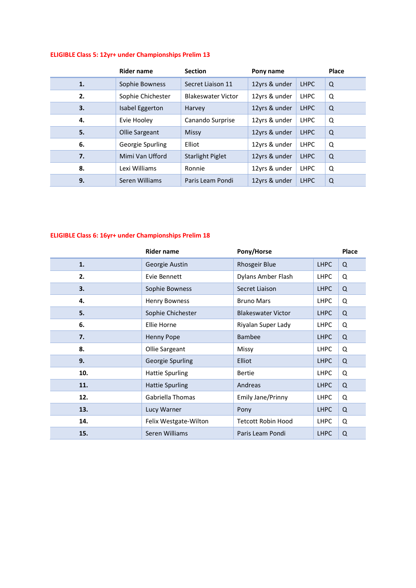#### **ELIGIBLE Class 5: 12yr+ under Championships Prelim 13**

|    | Rider name        | <b>Section</b>            | Pony name     |             | <b>Place</b> |
|----|-------------------|---------------------------|---------------|-------------|--------------|
| 1. | Sophie Bowness    | Secret Liaison 11         | 12yrs & under | <b>LHPC</b> | Q            |
| 2. | Sophie Chichester | <b>Blakeswater Victor</b> | 12yrs & under | <b>LHPC</b> | Q            |
| 3. | Isabel Eggerton   | Harvey                    | 12yrs & under | <b>LHPC</b> | Q            |
| 4. | Evie Hooley       | Canando Surprise          | 12yrs & under | <b>LHPC</b> | Q            |
| 5. | Ollie Sargeant    | Missy                     | 12yrs & under | <b>LHPC</b> | Q            |
| 6. | Georgie Spurling  | Elliot                    | 12yrs & under | <b>LHPC</b> | Q            |
| 7. | Mimi Van Ufford   | <b>Starlight Piglet</b>   | 12yrs & under | <b>LHPC</b> | Q            |
| 8. | Lexi Williams     | Ronnie                    | 12yrs & under | <b>LHPC</b> | Q            |
| 9. | Seren Williams    | Paris Leam Pondi          | 12yrs & under | <b>LHPC</b> | Q            |

## **ELIGIBLE Class 6: 16yr+ under Championships Prelim 18**

|     | <b>Rider name</b>      | Pony/Horse                |             | Place |
|-----|------------------------|---------------------------|-------------|-------|
| 1.  | Georgie Austin         | <b>Rhosgeir Blue</b>      | <b>LHPC</b> | Q     |
| 2.  | Evie Bennett           | Dylans Amber Flash        | <b>LHPC</b> | Q     |
| 3.  | Sophie Bowness         | Secret Liaison            | <b>LHPC</b> | Q     |
| 4.  | <b>Henry Bowness</b>   | <b>Bruno Mars</b>         | <b>LHPC</b> | Q     |
| 5.  | Sophie Chichester      | <b>Blakeswater Victor</b> | <b>LHPC</b> | Q     |
| 6.  | Ellie Horne            | Riyalan Super Lady        | <b>LHPC</b> | Q     |
| 7.  | <b>Henny Pope</b>      | <b>Bambee</b>             | <b>LHPC</b> | Q     |
| 8.  | Ollie Sargeant         | Missy                     | <b>LHPC</b> | Q     |
| 9.  | Georgie Spurling       | <b>Elliot</b>             | <b>LHPC</b> | Q     |
| 10. | <b>Hattie Spurling</b> | <b>Bertie</b>             | <b>LHPC</b> | Q     |
| 11. | <b>Hattie Spurling</b> | Andreas                   | <b>LHPC</b> | Q     |
| 12. | Gabriella Thomas       | Emily Jane/Prinny         | <b>LHPC</b> | Q     |
| 13. | Lucy Warner            | Pony                      | <b>LHPC</b> | Q     |
| 14. | Felix Westgate-Wilton  | <b>Tetcott Robin Hood</b> | <b>LHPC</b> | Q     |
| 15. | Seren Williams         | Paris Leam Pondi          | <b>LHPC</b> | Q     |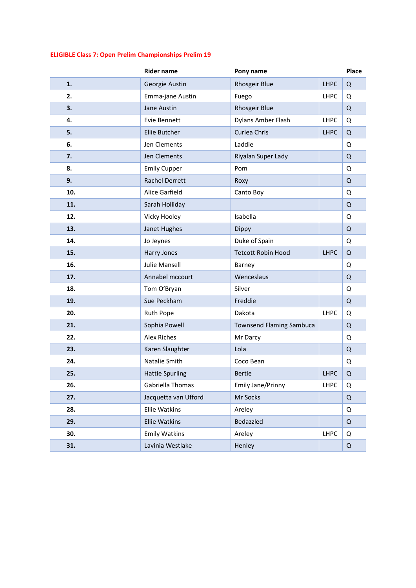#### **ELIGIBLE Class 7: Open Prelim Championships Prelim 19**

|     | <b>Rider name</b>      | Pony name                       |             | Place       |
|-----|------------------------|---------------------------------|-------------|-------------|
| 1.  | Georgie Austin         | Rhosgeir Blue                   | <b>LHPC</b> | $\mathsf Q$ |
| 2.  | Emma-jane Austin       | Fuego                           | <b>LHPC</b> | Q           |
| 3.  | Jane Austin            | Rhosgeir Blue                   |             | Q           |
| 4.  | Evie Bennett           | Dylans Amber Flash              | <b>LHPC</b> | Q           |
| 5.  | Ellie Butcher          | Curlea Chris                    | <b>LHPC</b> | $\Omega$    |
| 6.  | Jen Clements           | Laddie                          |             | Q           |
| 7.  | Jen Clements           | Riyalan Super Lady              |             | $\mathsf Q$ |
| 8.  | <b>Emily Cupper</b>    | Pom                             |             | Q           |
| 9.  | <b>Rachel Derrett</b>  | Roxy                            |             | Q           |
| 10. | Alice Garfield         | Canto Boy                       |             | Q           |
| 11. | Sarah Holliday         |                                 |             | Q           |
| 12. | Vicky Hooley           | Isabella                        |             | Q           |
| 13. | Janet Hughes           | Dippy                           |             | $\Omega$    |
| 14. | Jo Jeynes              | Duke of Spain                   |             | Q           |
| 15. | Harry Jones            | <b>Tetcott Robin Hood</b>       | <b>LHPC</b> | $\mathsf Q$ |
| 16. | <b>Julie Mansell</b>   | Barney                          |             | Q           |
| 17. | Annabel mccourt        | Wenceslaus                      |             | $\Omega$    |
| 18. | Tom O'Bryan            | Silver                          |             | Q           |
| 19. | Sue Peckham            | Freddie                         |             | Q           |
| 20. | <b>Ruth Pope</b>       | Dakota                          | <b>LHPC</b> | Q           |
| 21. | Sophia Powell          | <b>Townsend Flaming Sambuca</b> |             | $\Omega$    |
| 22. | <b>Alex Riches</b>     | Mr Darcy                        |             | Q           |
| 23. | Karen Slaughter        | Lola                            |             | $\mathsf Q$ |
| 24. | Natalie Smith          | Coco Bean                       |             | Q           |
| 25. | <b>Hattie Spurling</b> | <b>Bertie</b>                   | <b>LHPC</b> | Q           |
| 26. | Gabriella Thomas       | Emily Jane/Prinny               | LHPC        | Q           |
| 27. | Jacquetta van Ufford   | Mr Socks                        |             | $\Omega$    |
| 28. | <b>Ellie Watkins</b>   | Areley                          |             | Q           |
| 29. | <b>Ellie Watkins</b>   | Bedazzled                       |             | Q           |
| 30. | <b>Emily Watkins</b>   | Areley                          | <b>LHPC</b> | Q           |
| 31. | Lavinia Westlake       | Henley                          |             | Q           |